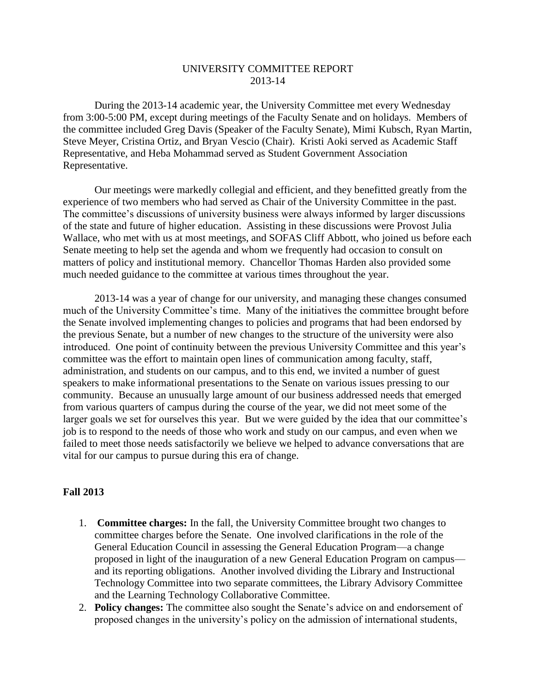## UNIVERSITY COMMITTEE REPORT 2013-14

During the 2013-14 academic year, the University Committee met every Wednesday from 3:00-5:00 PM, except during meetings of the Faculty Senate and on holidays. Members of the committee included Greg Davis (Speaker of the Faculty Senate), Mimi Kubsch, Ryan Martin, Steve Meyer, Cristina Ortiz, and Bryan Vescio (Chair). Kristi Aoki served as Academic Staff Representative, and Heba Mohammad served as Student Government Association Representative.

Our meetings were markedly collegial and efficient, and they benefitted greatly from the experience of two members who had served as Chair of the University Committee in the past. The committee's discussions of university business were always informed by larger discussions of the state and future of higher education. Assisting in these discussions were Provost Julia Wallace, who met with us at most meetings, and SOFAS Cliff Abbott, who joined us before each Senate meeting to help set the agenda and whom we frequently had occasion to consult on matters of policy and institutional memory. Chancellor Thomas Harden also provided some much needed guidance to the committee at various times throughout the year.

2013-14 was a year of change for our university, and managing these changes consumed much of the University Committee's time. Many of the initiatives the committee brought before the Senate involved implementing changes to policies and programs that had been endorsed by the previous Senate, but a number of new changes to the structure of the university were also introduced. One point of continuity between the previous University Committee and this year's committee was the effort to maintain open lines of communication among faculty, staff, administration, and students on our campus, and to this end, we invited a number of guest speakers to make informational presentations to the Senate on various issues pressing to our community. Because an unusually large amount of our business addressed needs that emerged from various quarters of campus during the course of the year, we did not meet some of the larger goals we set for ourselves this year. But we were guided by the idea that our committee's job is to respond to the needs of those who work and study on our campus, and even when we failed to meet those needs satisfactorily we believe we helped to advance conversations that are vital for our campus to pursue during this era of change.

## **Fall 2013**

- 1. **Committee charges:** In the fall, the University Committee brought two changes to committee charges before the Senate. One involved clarifications in the role of the General Education Council in assessing the General Education Program—a change proposed in light of the inauguration of a new General Education Program on campus and its reporting obligations. Another involved dividing the Library and Instructional Technology Committee into two separate committees, the Library Advisory Committee and the Learning Technology Collaborative Committee.
- 2. **Policy changes:** The committee also sought the Senate's advice on and endorsement of proposed changes in the university's policy on the admission of international students,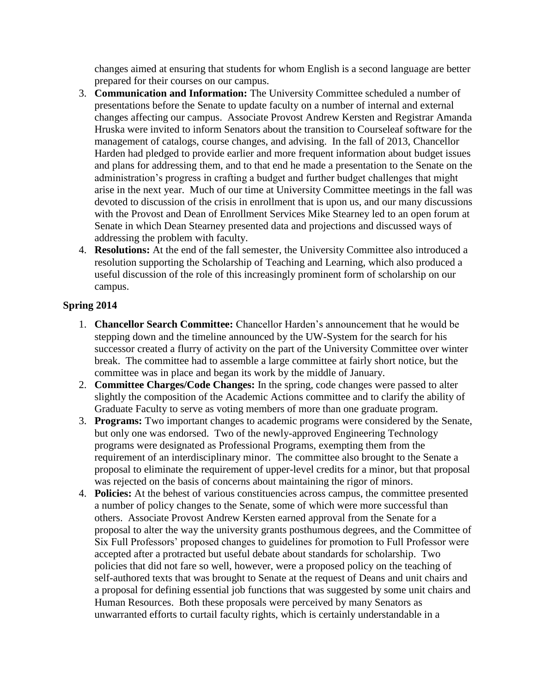changes aimed at ensuring that students for whom English is a second language are better prepared for their courses on our campus.

- 3. **Communication and Information:** The University Committee scheduled a number of presentations before the Senate to update faculty on a number of internal and external changes affecting our campus. Associate Provost Andrew Kersten and Registrar Amanda Hruska were invited to inform Senators about the transition to Courseleaf software for the management of catalogs, course changes, and advising. In the fall of 2013, Chancellor Harden had pledged to provide earlier and more frequent information about budget issues and plans for addressing them, and to that end he made a presentation to the Senate on the administration's progress in crafting a budget and further budget challenges that might arise in the next year. Much of our time at University Committee meetings in the fall was devoted to discussion of the crisis in enrollment that is upon us, and our many discussions with the Provost and Dean of Enrollment Services Mike Stearney led to an open forum at Senate in which Dean Stearney presented data and projections and discussed ways of addressing the problem with faculty.
- 4. **Resolutions:** At the end of the fall semester, the University Committee also introduced a resolution supporting the Scholarship of Teaching and Learning, which also produced a useful discussion of the role of this increasingly prominent form of scholarship on our campus.

## **Spring 2014**

- 1. **Chancellor Search Committee:** Chancellor Harden's announcement that he would be stepping down and the timeline announced by the UW-System for the search for his successor created a flurry of activity on the part of the University Committee over winter break. The committee had to assemble a large committee at fairly short notice, but the committee was in place and began its work by the middle of January.
- 2. **Committee Charges/Code Changes:** In the spring, code changes were passed to alter slightly the composition of the Academic Actions committee and to clarify the ability of Graduate Faculty to serve as voting members of more than one graduate program.
- 3. **Programs:** Two important changes to academic programs were considered by the Senate, but only one was endorsed. Two of the newly-approved Engineering Technology programs were designated as Professional Programs, exempting them from the requirement of an interdisciplinary minor. The committee also brought to the Senate a proposal to eliminate the requirement of upper-level credits for a minor, but that proposal was rejected on the basis of concerns about maintaining the rigor of minors.
- 4. **Policies:** At the behest of various constituencies across campus, the committee presented a number of policy changes to the Senate, some of which were more successful than others. Associate Provost Andrew Kersten earned approval from the Senate for a proposal to alter the way the university grants posthumous degrees, and the Committee of Six Full Professors' proposed changes to guidelines for promotion to Full Professor were accepted after a protracted but useful debate about standards for scholarship. Two policies that did not fare so well, however, were a proposed policy on the teaching of self-authored texts that was brought to Senate at the request of Deans and unit chairs and a proposal for defining essential job functions that was suggested by some unit chairs and Human Resources. Both these proposals were perceived by many Senators as unwarranted efforts to curtail faculty rights, which is certainly understandable in a